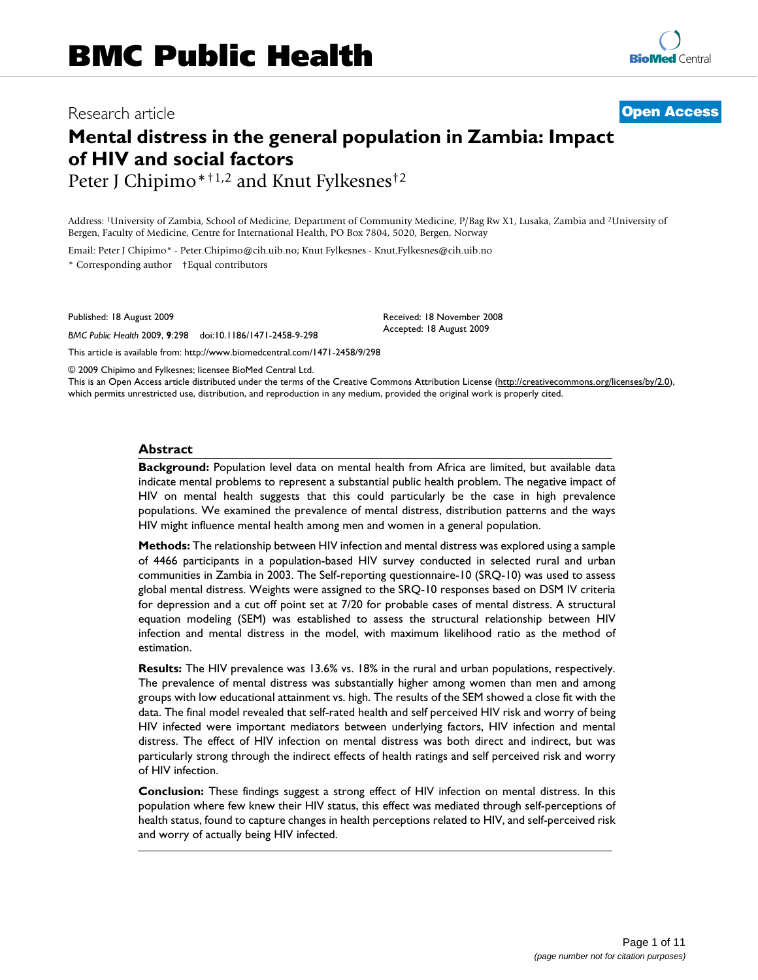# Research article

**[Open Access](http://www.biomedcentral.com/info/about/charter/)**

# **Mental distress in the general population in Zambia: Impact of HIV and social factors**

Peter J Chipimo\*†1,2 and Knut Fylkesnes†2

Address: 1University of Zambia, School of Medicine, Department of Community Medicine, P/Bag Rw X1, Lusaka, Zambia and 2University of Bergen, Faculty of Medicine, Centre for International Health, PO Box 7804, 5020, Bergen, Norway

Email: Peter J Chipimo\* - Peter.Chipimo@cih.uib.no; Knut Fylkesnes - Knut.Fylkesnes@cih.uib.no

\* Corresponding author †Equal contributors

Published: 18 August 2009

*BMC Public Health* 2009, **9**:298 doi:10.1186/1471-2458-9-298

[This article is available from: http://www.biomedcentral.com/1471-2458/9/298](http://www.biomedcentral.com/1471-2458/9/298)

© 2009 Chipimo and Fylkesnes; licensee BioMed Central Ltd.

This is an Open Access article distributed under the terms of the Creative Commons Attribution License [\(http://creativecommons.org/licenses/by/2.0\)](http://creativecommons.org/licenses/by/2.0), which permits unrestricted use, distribution, and reproduction in any medium, provided the original work is properly cited.

Received: 18 November 2008 Accepted: 18 August 2009

#### **Abstract**

**Background:** Population level data on mental health from Africa are limited, but available data indicate mental problems to represent a substantial public health problem. The negative impact of HIV on mental health suggests that this could particularly be the case in high prevalence populations. We examined the prevalence of mental distress, distribution patterns and the ways HIV might influence mental health among men and women in a general population.

**Methods:** The relationship between HIV infection and mental distress was explored using a sample of 4466 participants in a population-based HIV survey conducted in selected rural and urban communities in Zambia in 2003. The Self-reporting questionnaire-10 (SRQ-10) was used to assess global mental distress. Weights were assigned to the SRQ-10 responses based on DSM IV criteria for depression and a cut off point set at 7/20 for probable cases of mental distress. A structural equation modeling (SEM) was established to assess the structural relationship between HIV infection and mental distress in the model, with maximum likelihood ratio as the method of estimation.

**Results:** The HIV prevalence was 13.6% vs. 18% in the rural and urban populations, respectively. The prevalence of mental distress was substantially higher among women than men and among groups with low educational attainment vs. high. The results of the SEM showed a close fit with the data. The final model revealed that self-rated health and self perceived HIV risk and worry of being HIV infected were important mediators between underlying factors, HIV infection and mental distress. The effect of HIV infection on mental distress was both direct and indirect, but was particularly strong through the indirect effects of health ratings and self perceived risk and worry of HIV infection.

**Conclusion:** These findings suggest a strong effect of HIV infection on mental distress. In this population where few knew their HIV status, this effect was mediated through self-perceptions of health status, found to capture changes in health perceptions related to HIV, and self-perceived risk and worry of actually being HIV infected.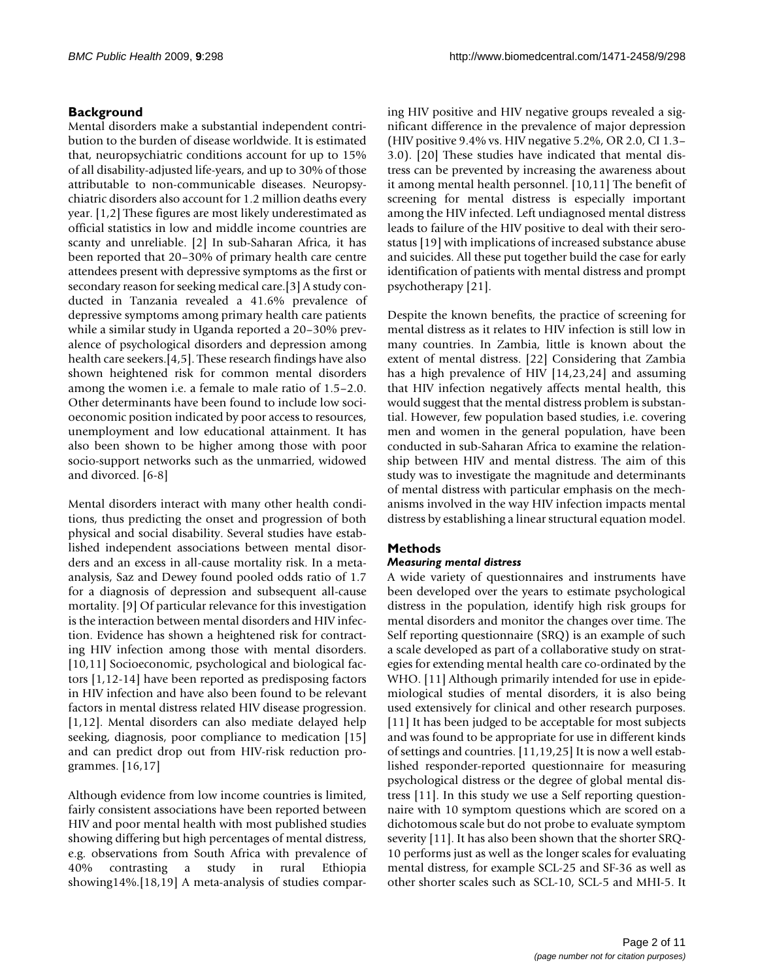# **Background**

Mental disorders make a substantial independent contribution to the burden of disease worldwide. It is estimated that, neuropsychiatric conditions account for up to 15% of all disability-adjusted life-years, and up to 30% of those attributable to non-communicable diseases. Neuropsychiatric disorders also account for 1.2 million deaths every year. [[1](#page-9-0),[2](#page-9-1)] These figures are most likely underestimated as official statistics in low and middle income countries are scanty and unreliable. [\[2\]](#page-9-1) In sub-Saharan Africa, it has been reported that 20–30% of primary health care centre attendees present with depressive symptoms as the first or secondary reason for seeking medical care.[\[3](#page-9-2)] A study conducted in Tanzania revealed a 41.6% prevalence of depressive symptoms among primary health care patients while a similar study in Uganda reported a 20–30% prevalence of psychological disorders and depression among health care seekers.[\[4](#page-9-3),[5](#page-9-4)]. These research findings have also shown heightened risk for common mental disorders among the women i.e. a female to male ratio of 1.5–2.0. Other determinants have been found to include low socioeconomic position indicated by poor access to resources, unemployment and low educational attainment. It has also been shown to be higher among those with poor socio-support networks such as the unmarried, widowed and divorced. [[6-](#page-9-5)[8](#page-9-6)]

Mental disorders interact with many other health conditions, thus predicting the onset and progression of both physical and social disability. Several studies have established independent associations between mental disorders and an excess in all-cause mortality risk. In a metaanalysis, Saz and Dewey found pooled odds ratio of 1.7 for a diagnosis of depression and subsequent all-cause mortality. [\[9\]](#page-9-7) Of particular relevance for this investigation is the interaction between mental disorders and HIV infection. Evidence has shown a heightened risk for contracting HIV infection among those with mental disorders. [[10](#page-9-8),[11\]](#page-9-9) Socioeconomic, psychological and biological factors [\[1,](#page-9-0)[12](#page-9-10)[-14\]](#page-9-11) have been reported as predisposing factors in HIV infection and have also been found to be relevant factors in mental distress related HIV disease progression. [[1](#page-9-0)[,12](#page-9-10)]. Mental disorders can also mediate delayed help seeking, diagnosis, poor compliance to medication [[15\]](#page-9-12) and can predict drop out from HIV-risk reduction programmes. [[16](#page-9-13)[,17](#page-9-14)]

Although evidence from low income countries is limited, fairly consistent associations have been reported between HIV and poor mental health with most published studies showing differing but high percentages of mental distress, e.g. observations from South Africa with prevalence of 40% contrasting a study in rural Ethiopia showing14%.[\[18](#page-9-15),[19](#page-9-16)] A meta-analysis of studies comparing HIV positive and HIV negative groups revealed a significant difference in the prevalence of major depression (HIV positive 9.4% vs. HIV negative 5.2%, OR 2.0, CI 1.3– 3.0). [\[20\]](#page-9-17) These studies have indicated that mental distress can be prevented by increasing the awareness about it among mental health personnel. [\[10](#page-9-8),[11](#page-9-9)] The benefit of screening for mental distress is especially important among the HIV infected. Left undiagnosed mental distress leads to failure of the HIV positive to deal with their serostatus [[19](#page-9-16)] with implications of increased substance abuse and suicides. All these put together build the case for early identification of patients with mental distress and prompt psychotherapy [\[21](#page-9-18)].

Despite the known benefits, the practice of screening for mental distress as it relates to HIV infection is still low in many countries. In Zambia, little is known about the extent of mental distress. [\[22](#page-9-19)] Considering that Zambia has a high prevalence of HIV [\[14](#page-9-11)[,23](#page-9-20),[24\]](#page-9-21) and assuming that HIV infection negatively affects mental health, this would suggest that the mental distress problem is substantial. However, few population based studies, i.e. covering men and women in the general population, have been conducted in sub-Saharan Africa to examine the relationship between HIV and mental distress. The aim of this study was to investigate the magnitude and determinants of mental distress with particular emphasis on the mechanisms involved in the way HIV infection impacts mental distress by establishing a linear structural equation model.

# **Methods**

## *Measuring mental distress*

A wide variety of questionnaires and instruments have been developed over the years to estimate psychological distress in the population, identify high risk groups for mental disorders and monitor the changes over time. The Self reporting questionnaire (SRQ) is an example of such a scale developed as part of a collaborative study on strategies for extending mental health care co-ordinated by the WHO. [\[11\]](#page-9-9) Although primarily intended for use in epidemiological studies of mental disorders, it is also being used extensively for clinical and other research purposes. [[11](#page-9-9)] It has been judged to be acceptable for most subjects and was found to be appropriate for use in different kinds of settings and countries. [\[11](#page-9-9),[19](#page-9-16),[25\]](#page-9-22) It is now a well established responder-reported questionnaire for measuring psychological distress or the degree of global mental distress [\[11\]](#page-9-9). In this study we use a Self reporting questionnaire with 10 symptom questions which are scored on a dichotomous scale but do not probe to evaluate symptom severity [\[11](#page-9-9)]. It has also been shown that the shorter SRQ-10 performs just as well as the longer scales for evaluating mental distress, for example SCL-25 and SF-36 as well as other shorter scales such as SCL-10, SCL-5 and MHI-5. It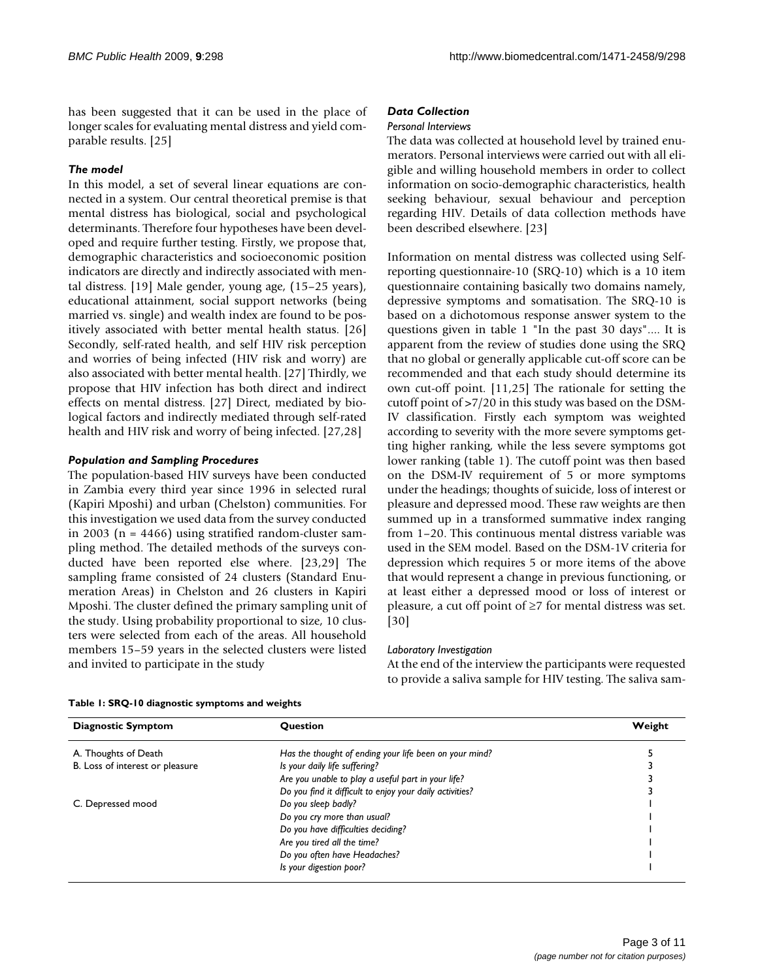has been suggested that it can be used in the place of longer scales for evaluating mental distress and yield comparable results. [[25](#page-9-22)]

## *The model*

In this model, a set of several linear equations are connected in a system. Our central theoretical premise is that mental distress has biological, social and psychological determinants. Therefore four hypotheses have been developed and require further testing. Firstly, we propose that, demographic characteristics and socioeconomic position indicators are directly and indirectly associated with mental distress. [\[19\]](#page-9-16) Male gender, young age, (15–25 years), educational attainment, social support networks (being married vs. single) and wealth index are found to be positively associated with better mental health status. [[26\]](#page-9-23) Secondly, self-rated health, and self HIV risk perception and worries of being infected (HIV risk and worry) are also associated with better mental health. [[27\]](#page-10-0) Thirdly, we propose that HIV infection has both direct and indirect effects on mental distress. [[27\]](#page-10-0) Direct, mediated by biological factors and indirectly mediated through self-rated health and HIV risk and worry of being infected. [[27](#page-10-0),[28\]](#page-10-1)

## *Population and Sampling Procedures*

The population-based HIV surveys have been conducted in Zambia every third year since 1996 in selected rural (Kapiri Mposhi) and urban (Chelston) communities. For this investigation we used data from the survey conducted in 2003 ( $n = 4466$ ) using stratified random-cluster sampling method. The detailed methods of the surveys conducted have been reported else where. [\[23](#page-9-20),[29](#page-10-2)] The sampling frame consisted of 24 clusters (Standard Enumeration Areas) in Chelston and 26 clusters in Kapiri Mposhi. The cluster defined the primary sampling unit of the study. Using probability proportional to size, 10 clusters were selected from each of the areas. All household members 15–59 years in the selected clusters were listed and invited to participate in the study

## *Data Collection*

#### *Personal Interviews*

The data was collected at household level by trained enumerators. Personal interviews were carried out with all eligible and willing household members in order to collect information on socio-demographic characteristics, health seeking behaviour, sexual behaviour and perception regarding HIV. Details of data collection methods have been described elsewhere. [\[23\]](#page-9-20)

Information on mental distress was collected using Selfreporting questionnaire-10 (SRQ-10) which is a 10 item questionnaire containing basically two domains namely, depressive symptoms and somatisation. The SRQ-10 is based on a dichotomous response answer system to the questions given in table [1](#page-2-0) "In the past 30 day*s*".... It is apparent from the review of studies done using the SRQ that no global or generally applicable cut-off score can be recommended and that each study should determine its own cut-off point. [\[11,](#page-9-9)[25](#page-9-22)] The rationale for setting the cutoff point of >7/20 in this study was based on the DSM-IV classification. Firstly each symptom was weighted according to severity with the more severe symptoms getting higher ranking, while the less severe symptoms got lower ranking (table [1\)](#page-2-0). The cutoff point was then based on the DSM-IV requirement of 5 or more symptoms under the headings; thoughts of suicide, loss of interest or pleasure and depressed mood. These raw weights are then summed up in a transformed summative index ranging from 1–20. This continuous mental distress variable was used in the SEM model. Based on the DSM-1V criteria for depression which requires 5 or more items of the above that would represent a change in previous functioning, or at least either a depressed mood or loss of interest or pleasure, a cut off point of ≥7 for mental distress was set. [[30](#page-10-3)]

#### *Laboratory Investigation*

At the end of the interview the participants were requested to provide a saliva sample for HIV testing. The saliva sam-

| Diagnostic Symptom              | <b>Ouestion</b>                                          | Weight |
|---------------------------------|----------------------------------------------------------|--------|
| A. Thoughts of Death            | Has the thought of ending your life been on your mind?   |        |
| B. Loss of interest or pleasure | Is your daily life suffering?                            |        |
|                                 | Are you unable to play a useful part in your life?       |        |
|                                 | Do you find it difficult to enjoy your daily activities? |        |
| C. Depressed mood               | Do you sleep badly?                                      |        |
|                                 | Do you cry more than usual?                              |        |
|                                 | Do you have difficulties deciding?                       |        |
|                                 | Are you tired all the time?                              |        |
|                                 | Do you often have Headaches?                             |        |
|                                 | Is your digestion poor?                                  |        |

## <span id="page-2-0"></span>**Table 1: SRQ-10 diagnostic symptoms and weights**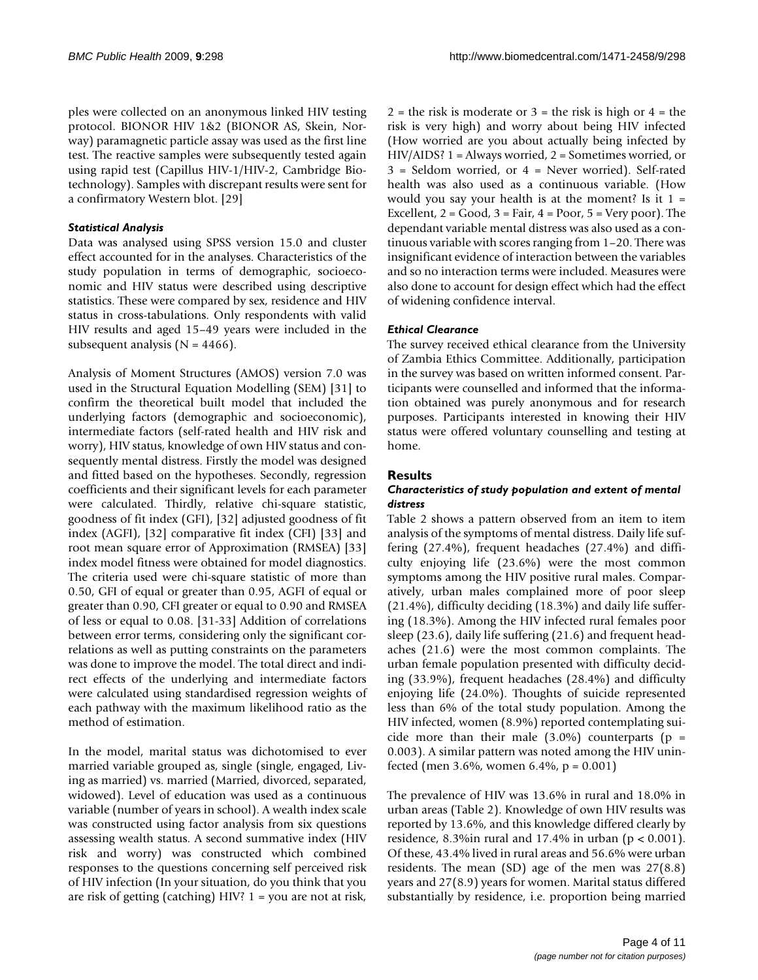ples were collected on an anonymous linked HIV testing protocol. BIONOR HIV 1&2 (BIONOR AS, Skein, Norway) paramagnetic particle assay was used as the first line test. The reactive samples were subsequently tested again using rapid test (Capillus HIV-1/HIV-2, Cambridge Biotechnology). Samples with discrepant results were sent for a confirmatory Western blot. [\[29\]](#page-10-2)

## *Statistical Analysis*

Data was analysed using SPSS version 15.0 and cluster effect accounted for in the analyses. Characteristics of the study population in terms of demographic, socioeconomic and HIV status were described using descriptive statistics. These were compared by sex, residence and HIV status in cross-tabulations. Only respondents with valid HIV results and aged 15–49 years were included in the subsequent analysis ( $N = 4466$ ).

Analysis of Moment Structures (AMOS) version 7.0 was used in the Structural Equation Modelling (SEM) [\[31](#page-10-4)] to confirm the theoretical built model that included the underlying factors (demographic and socioeconomic), intermediate factors (self-rated health and HIV risk and worry), HIV status, knowledge of own HIV status and consequently mental distress. Firstly the model was designed and fitted based on the hypotheses. Secondly, regression coefficients and their significant levels for each parameter were calculated. Thirdly, relative chi-square statistic, goodness of fit index (GFI), [\[32](#page-10-5)] adjusted goodness of fit index (AGFI), [[32](#page-10-5)] comparative fit index (CFI) [\[33](#page-10-6)] and root mean square error of Approximation (RMSEA) [[33\]](#page-10-6) index model fitness were obtained for model diagnostics. The criteria used were chi-square statistic of more than 0.50, GFI of equal or greater than 0.95, AGFI of equal or greater than 0.90, CFI greater or equal to 0.90 and RMSEA of less or equal to 0.08. [[31-](#page-10-4)[33](#page-10-6)] Addition of correlations between error terms, considering only the significant correlations as well as putting constraints on the parameters was done to improve the model. The total direct and indirect effects of the underlying and intermediate factors were calculated using standardised regression weights of each pathway with the maximum likelihood ratio as the method of estimation.

In the model, marital status was dichotomised to ever married variable grouped as, single (single, engaged, Living as married) vs. married (Married, divorced, separated, widowed). Level of education was used as a continuous variable (number of years in school). A wealth index scale was constructed using factor analysis from six questions assessing wealth status. A second summative index (HIV risk and worry) was constructed which combined responses to the questions concerning self perceived risk of HIV infection (In your situation, do you think that you are risk of getting (catching) HIV? 1 = you are not at risk,

 $2 =$  the risk is moderate or  $3 =$  the risk is high or  $4 =$  the risk is very high) and worry about being HIV infected (How worried are you about actually being infected by HIV/AIDS? 1 = Always worried, 2 = Sometimes worried, or 3 = Seldom worried, or 4 = Never worried). Self-rated health was also used as a continuous variable. (How would you say your health is at the moment? Is it  $1 =$ Excellent,  $2 = Good$ ,  $3 = Fair$ ,  $4 = Poor$ ,  $5 = Very poor$ ). The dependant variable mental distress was also used as a continuous variable with scores ranging from 1–20. There was insignificant evidence of interaction between the variables and so no interaction terms were included. Measures were also done to account for design effect which had the effect of widening confidence interval.

# *Ethical Clearance*

The survey received ethical clearance from the University of Zambia Ethics Committee. Additionally, participation in the survey was based on written informed consent. Participants were counselled and informed that the information obtained was purely anonymous and for research purposes. Participants interested in knowing their HIV status were offered voluntary counselling and testing at home.

# **Results**

## *Characteristics of study population and extent of mental distress*

Table [2](#page-4-0) shows a pattern observed from an item to item analysis of the symptoms of mental distress. Daily life suffering (27.4%), frequent headaches (27.4%) and difficulty enjoying life (23.6%) were the most common symptoms among the HIV positive rural males. Comparatively, urban males complained more of poor sleep (21.4%), difficulty deciding (18.3%) and daily life suffering (18.3%). Among the HIV infected rural females poor sleep (23.6), daily life suffering (21.6) and frequent headaches (21.6) were the most common complaints. The urban female population presented with difficulty deciding (33.9%), frequent headaches (28.4%) and difficulty enjoying life (24.0%). Thoughts of suicide represented less than 6% of the total study population. Among the HIV infected, women (8.9%) reported contemplating suicide more than their male  $(3.0\%)$  counterparts  $(p =$ 0.003). A similar pattern was noted among the HIV uninfected (men 3.6%, women 6.4%, p = 0.001)

The prevalence of HIV was 13.6% in rural and 18.0% in urban areas (Table [2\)](#page-4-0). Knowledge of own HIV results was reported by 13.6%, and this knowledge differed clearly by residence, 8.3% in rural and 17.4% in urban ( $p < 0.001$ ). Of these, 43.4% lived in rural areas and 56.6% were urban residents. The mean (SD) age of the men was 27(8.8) years and 27(8.9) years for women. Marital status differed substantially by residence, i.e. proportion being married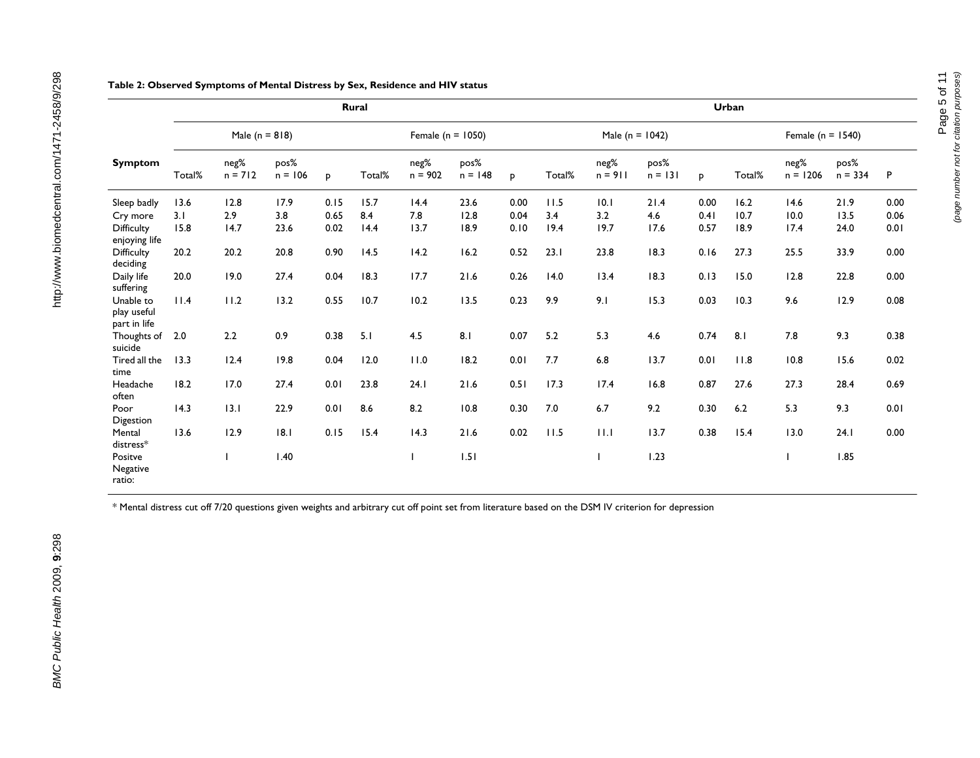|                                          | Rural  |                    |                   |      |        |                       |                   |      | Urban               |                   |                   |      |                       |                    |                   |      |
|------------------------------------------|--------|--------------------|-------------------|------|--------|-----------------------|-------------------|------|---------------------|-------------------|-------------------|------|-----------------------|--------------------|-------------------|------|
|                                          |        | Male ( $n = 818$ ) |                   |      |        | Female ( $n = 1050$ ) |                   |      | Male ( $n = 1042$ ) |                   |                   |      | Female ( $n = 1540$ ) |                    |                   |      |
| <b>Symptom</b>                           | Total% | neg%<br>$n = 712$  | pos%<br>$n = 106$ | P.   | Total% | neg%<br>$n = 902$     | pos%<br>$n = 148$ | P    | Total%              | neg%<br>$n = 911$ | pos%<br>$n = 131$ | P    | Total%                | neg%<br>$n = 1206$ | pos%<br>$n = 334$ | P    |
| Sleep badly                              | 13.6   | 12.8               | 17.9              | 0.15 | 15.7   | 14.4                  | 23.6              | 0.00 | 11.5                | 10.1              | 21.4              | 0.00 | 16.2                  | 14.6               | 21.9              | 0.00 |
| Cry more                                 | 3.1    | 2.9                | 3.8               | 0.65 | 8.4    | 7.8                   | 12.8              | 0.04 | 3.4                 | 3.2               | 4.6               | 0.41 | 10.7                  | 10.0               | 13.5              | 0.06 |
| <b>Difficulty</b><br>enjoying life       | 15.8   | 14.7               | 23.6              | 0.02 | 14.4   | 13.7                  | 18.9              | 0.10 | 19.4                | 19.7              | 17.6              | 0.57 | 18.9                  | 17.4               | 24.0              | 0.01 |
| <b>Difficulty</b><br>deciding            | 20.2   | 20.2               | 20.8              | 0.90 | 14.5   | 14.2                  | 16.2              | 0.52 | 23.1                | 23.8              | 18.3              | 0.16 | 27.3                  | 25.5               | 33.9              | 0.00 |
| Daily life<br>suffering                  | 20.0   | 19.0               | 27.4              | 0.04 | 18.3   | 17.7                  | $21.6$            | 0.26 | 14.0                | 13.4              | 18.3              | 0.13 | 15.0                  | 12.8               | 22.8              | 0.00 |
| Unable to<br>play useful<br>part in life | 11.4   | 11.2               | 13.2              | 0.55 | 10.7   | 10.2                  | 13.5              | 0.23 | 9.9                 | 9.1               | 15.3              | 0.03 | 10.3                  | 9.6                | 12.9              | 0.08 |
| Thoughts of<br>suicide                   | 2.0    | 2.2                | 0.9               | 0.38 | 5.1    | 4.5                   | 8.1               | 0.07 | 5.2                 | 5.3               | 4.6               | 0.74 | 8.1                   | $7.8$              | 9.3               | 0.38 |
| Tired all the<br>time                    | 13.3   | 12.4               | 19.8              | 0.04 | 12.0   | 11.0                  | 18.2              | 0.01 | 7.7                 | 6.8               | 13.7              | 0.01 | 11.8                  | 10.8               | 15.6              | 0.02 |
| Headache<br>often                        | 18.2   | 17.0               | 27.4              | 0.01 | 23.8   | 24.1                  | 21.6              | 0.51 | 17.3                | 17.4              | 16.8              | 0.87 | 27.6                  | 27.3               | 28.4              | 0.69 |
| Poor<br>Digestion                        | 14.3   | 13.1               | 22.9              | 0.01 | 8.6    | 8.2                   | 10.8              | 0.30 | 7.0                 | 6.7               | 9.2               | 0.30 | 6.2                   | 5.3                | 9.3               | 0.01 |
| Mental<br>$\sf distress^*$               | 13.6   | 12.9               | 8.1               | 0.15 | 15.4   | 14.3                  | 21.6              | 0.02 | 11.5                | 11.1              | 13.7              | 0.38 | 15.4                  | 13.0               | 24.1              | 0.00 |
| Positve<br>Negative<br>ratio:            |        |                    | 1.40              |      |        |                       | 1.51              |      |                     |                   | 1.23              |      |                       |                    | 1.85              |      |

<span id="page-4-0"></span>\* Mental distress cut off 7/20 questions given weights and arbitrary cut off point set from literature based on the DSM IV criterion for depression

http://www.biomedcentral.com/1471-2458/9/298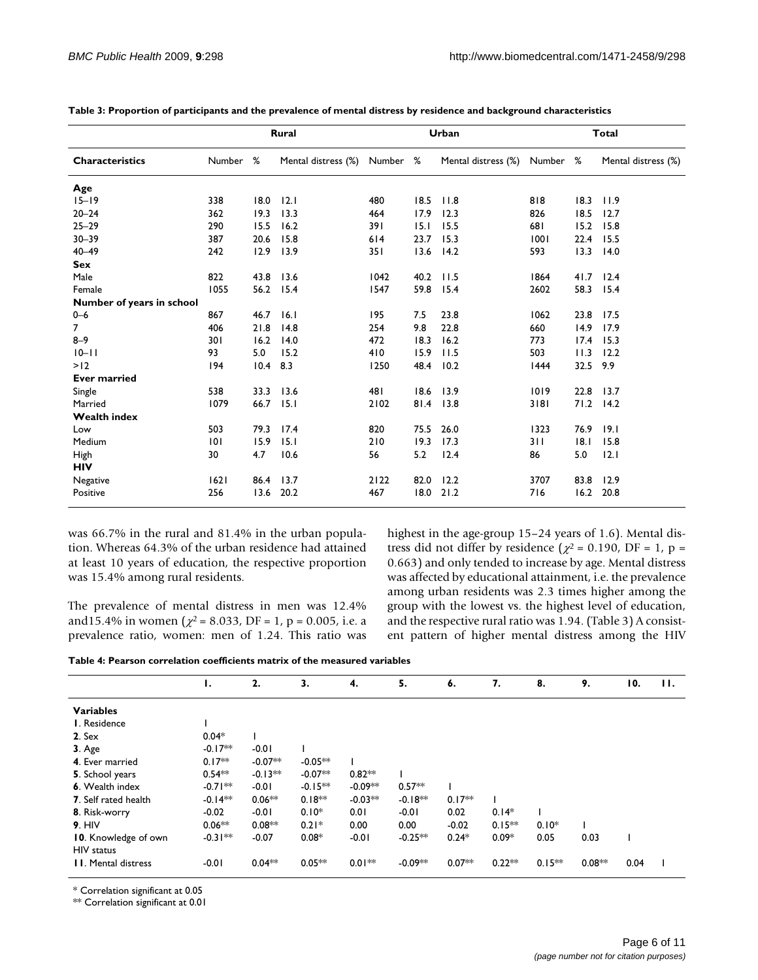|                           |          | <b>Rural</b> |                     | Urban    | <b>Total</b> |                     |          |      |                     |
|---------------------------|----------|--------------|---------------------|----------|--------------|---------------------|----------|------|---------------------|
| Characteristics           | Number % |              | Mental distress (%) | Number % |              | Mental distress (%) | Number % |      | Mental distress (%) |
| Age                       |          |              |                     |          |              |                     |          |      |                     |
| $15 - 19$                 | 338      | 18.0         | 12.1                | 480      | 18.5         | 11.8                | 818      | 18.3 | 11.9                |
| $20 - 24$                 | 362      | 19.3         | 13.3                | 464      | 17.9         | 12.3                | 826      | 18.5 | 12.7                |
| $25 - 29$                 | 290      | 15.5         | 16.2                | 391      | 15.1         | 15.5                | 681      | 15.2 | 15.8                |
| $30 - 39$                 | 387      | 20.6         | 15.8                | 614      | 23.7         | 15.3                | 1001     | 22.4 | 15.5                |
| $40 - 49$                 | 242      | 12.9         | 13.9                | 35 I     | 13.6         | 14.2                | 593      | 13.3 | 14.0                |
| Sex                       |          |              |                     |          |              |                     |          |      |                     |
| Male                      | 822      | 43.8         | 13.6                | 1042     | 40.2         | 11.5                | 1864     | 41.7 | 12.4                |
| Female                    | 1055     | 56.2         | 15.4                | 1547     | 59.8         | 15.4                | 2602     | 58.3 | 15.4                |
| Number of years in school |          |              |                     |          |              |                     |          |      |                     |
| $0 - 6$                   | 867      | 46.7         | 6.1                 | 195      | 7.5          | 23.8                | 1062     | 23.8 | 17.5                |
| $7^{\circ}$               | 406      | 21.8         | 14.8                | 254      | 9.8          | 22.8                | 660      | 14.9 | 17.9                |
| $8 - 9$                   | 301      | 16.2         | 14.0                | 472      | 18.3         | 16.2                | 773      | 17.4 | 15.3                |
| $10 - 11$                 | 93       | 5.0          | 15.2                | 410      | 15.9         | 11.5                | 503      | 11.3 | 12.2                |
| >12                       | 194      | 10.4         | 8.3                 | 1250     | 48.4         | 10.2                | 1444     | 32.5 | 9.9                 |
| <b>Ever married</b>       |          |              |                     |          |              |                     |          |      |                     |
| Single                    | 538      | 33.3         | 13.6                | 481      | 18.6         | 13.9                | 1019     | 22.8 | 13.7                |
| Married                   | 1079     | 66.7         | 15.1                | 2102     | 81.4         | 13.8                | 3181     | 71.2 | 14.2                |
| <b>Wealth index</b>       |          |              |                     |          |              |                     |          |      |                     |
| Low                       | 503      | 79.3         | 17.4                | 820      | 75.5         | 26.0                | 1323     | 76.9 | 19.1                |
| Medium                    | 0        | 15.9         | 15.1                | 210      | 19.3         | 17.3                | 311      | 8.1  | 15.8                |
| High                      | 30       | 4.7          | 10.6                | 56       | 5.2          | 12.4                | 86       | 5.0  | 12.1                |
| <b>HIV</b>                |          |              |                     |          |              |                     |          |      |                     |
| Negative                  | 1621     | 86.4         | 13.7                | 2122     | 82.0         | 12.2                | 3707     | 83.8 | 12.9                |
| Positive                  | 256      | 13.6         | 20.2                | 467      | 18.0         | 21.2                | 716      | 16.2 | 20.8                |

<span id="page-5-0"></span>**Table 3: Proportion of participants and the prevalence of mental distress by residence and background characteristics**

was 66.7% in the rural and 81.4% in the urban population. Whereas 64.3% of the urban residence had attained at least 10 years of education, the respective proportion was 15.4% among rural residents.

The prevalence of mental distress in men was 12.4% and15.4% in women ( $\chi^2$  = 8.033, DF = 1, p = 0.005, i.e. a prevalence ratio, women: men of 1.24. This ratio was highest in the age-group 15–24 years of 1.6). Mental distress did not differ by residence ( $\chi^2$  = 0.190, DF = 1, p = 0.663) and only tended to increase by age. Mental distress was affected by educational attainment, i.e. the prevalence among urban residents was 2.3 times higher among the group with the lowest vs. the highest level of education, and the respective rural ratio was 1.94. (Table [3\)](#page-5-0) A consistent pattern of higher mental distress among the HIV

<span id="page-5-1"></span>**Table 4: Pearson correlation coefficients matrix of the measured variables**

|                             | ι.         | 2.        | 3.        | 4.        | 5.        | 6.       | 7.        | 8.        | 9.       | 10.  | Н. |
|-----------------------------|------------|-----------|-----------|-----------|-----------|----------|-----------|-----------|----------|------|----|
| <b>Variables</b>            |            |           |           |           |           |          |           |           |          |      |    |
| I. Residence                |            |           |           |           |           |          |           |           |          |      |    |
| 2. Sex                      | $0.04*$    |           |           |           |           |          |           |           |          |      |    |
| 3. Age                      | $-0.17**$  | $-0.01$   |           |           |           |          |           |           |          |      |    |
| 4. Ever married             | $0.17**$   | $-0.07**$ | $-0.05**$ |           |           |          |           |           |          |      |    |
| 5. School years             | $0.54***$  | $-0.13**$ | $-0.07**$ | $0.82**$  |           |          |           |           |          |      |    |
| 6. Wealth index             | $-0.71**$  | $-0.01$   | $-0.15**$ | $-0.09**$ | $0.57**$  |          |           |           |          |      |    |
| 7. Self rated health        | $-0.14***$ | $0.06***$ | $0.18**$  | $-0.03**$ | $-0.18**$ | $0.17**$ |           |           |          |      |    |
| 8. Risk-worry               | $-0.02$    | $-0.01$   | $0.10*$   | 0.01      | $-0.01$   | 0.02     | $0.14*$   |           |          |      |    |
| 9. HIV                      | $0.06***$  | $0.08**$  | $0.21*$   | 0.00      | 0.00      | $-0.02$  | $0.15***$ | $0.10*$   |          |      |    |
| <b>10.</b> Knowledge of own | $-0.31**$  | $-0.07$   | $0.08*$   | $-0.01$   | $-0.25**$ | $0.24*$  | $0.09*$   | 0.05      | 0.03     |      |    |
| <b>HIV</b> status           |            |           |           |           |           |          |           |           |          |      |    |
| <b>II.</b> Mental distress  | $-0.01$    | $0.04**$  | $0.05**$  | $0.01***$ | $-0.09**$ | $0.07**$ | $0.22**$  | $0.15***$ | $0.08**$ | 0.04 |    |
|                             |            |           |           |           |           |          |           |           |          |      |    |

\* Correlation significant at 0.05

\*\* Correlation significant at 0.01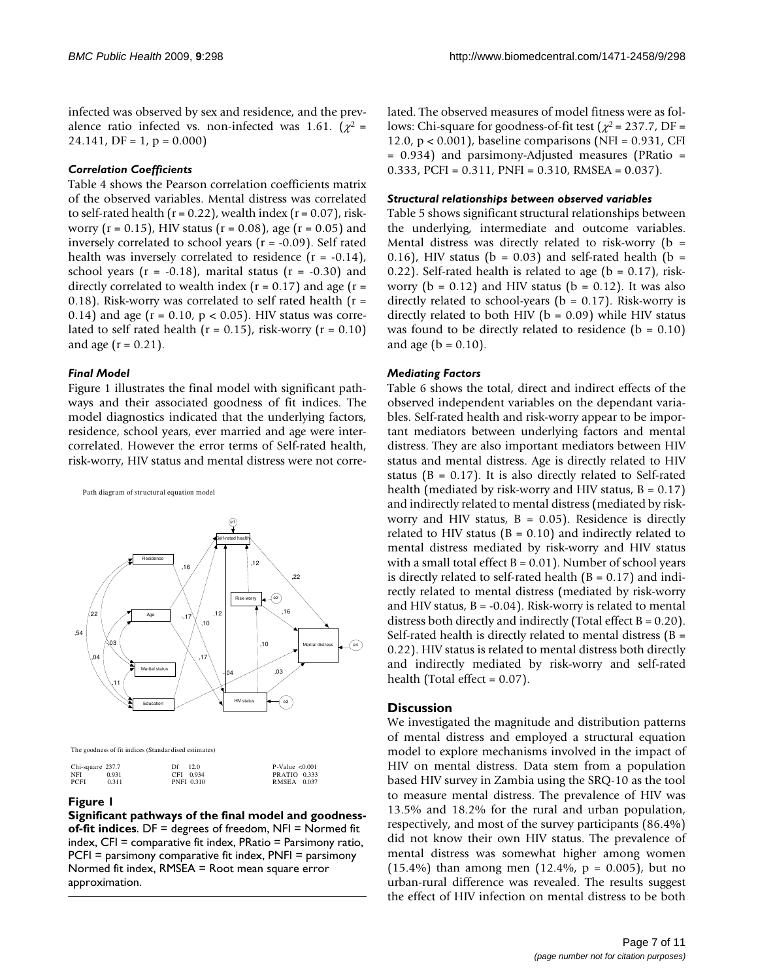infected was observed by sex and residence, and the prevalence ratio infected vs. non-infected was 1.61. ( $\chi^2$  =  $24.141, DF = 1, p = 0.000$ 

## *Correlation Coefficients*

Table [4](#page-5-1) shows the Pearson correlation coefficients matrix of the observed variables. Mental distress was correlated to self-rated health ( $r = 0.22$ ), wealth index ( $r = 0.07$ ), riskworry ( $r = 0.15$ ), HIV status ( $r = 0.08$ ), age ( $r = 0.05$ ) and inversely correlated to school years (r = -0.09). Self rated health was inversely correlated to residence  $(r = -0.14)$ , school years ( $r = -0.18$ ), marital status ( $r = -0.30$ ) and directly correlated to wealth index  $(r = 0.17)$  and age  $(r =$ 0.18). Risk-worry was correlated to self rated health ( $r =$ 0.14) and age ( $r = 0.10$ ,  $p < 0.05$ ). HIV status was correlated to self rated health ( $r = 0.15$ ), risk-worry ( $r = 0.10$ ) and age  $(r = 0.21)$ .

#### *Final Model*

Figure [1](#page-6-0) illustrates the final model with significant pathways and their associated goodness of fit indices. The model diagnostics indicated that the underlying factors, residence, school years, ever married and age were intercorrelated. However the error terms of Self-rated health, risk-worry, HIV status and mental distress were not corre-

<span id="page-6-0"></span>Path diagram of structural equation model



The goodness of fit indices (Standardised estimates)

| Chi-square 237.7 |       | Df                | 12.0 | $P-Value < 0.001$ |  |
|------------------|-------|-------------------|------|-------------------|--|
| NFI              | 0.931 | CFI 0.934         |      | PRATIO 0.333      |  |
| PCFI             | 0.311 | <b>PNFI 0.310</b> |      | RMSEA 0.037       |  |

#### **Figure 1**

**Significant pathways of the final model and goodnessof-fit indices**. DF = degrees of freedom, NFI = Normed fit index, CFI = comparative fit index, PRatio = Parsimony ratio, PCFI = parsimony comparative fit index, PNFI = parsimony Normed fit index, RMSEA = Root mean square error approximation.

lated. The observed measures of model fitness were as follows: Chi-square for goodness-of-fit test ( $\chi^2$  = 237.7, DF = 12.0, p < 0.001), baseline comparisons (NFI = 0.931, CFI = 0.934) and parsimony-Adjusted measures (PRatio = 0.333, PCFI = 0.311, PNFI = 0.310, RMSEA = 0.037).

#### *Structural relationships between observed variables*

Table [5](#page-7-0) shows significant structural relationships between the underlying, intermediate and outcome variables. Mental distress was directly related to risk-worry ( $b =$ 0.16), HIV status ( $b = 0.03$ ) and self-rated health ( $b = 0.16$ ) 0.22). Self-rated health is related to age ( $b = 0.17$ ), riskworry ( $b = 0.12$ ) and HIV status ( $b = 0.12$ ). It was also directly related to school-years ( $b = 0.17$ ). Risk-worry is directly related to both HIV ( $b = 0.09$ ) while HIV status was found to be directly related to residence  $(b = 0.10)$ and age ( $b = 0.10$ ).

#### *Mediating Factors*

Table [6](#page-8-0) shows the total, direct and indirect effects of the observed independent variables on the dependant variables. Self-rated health and risk-worry appear to be important mediators between underlying factors and mental distress. They are also important mediators between HIV status and mental distress. Age is directly related to HIV status ( $B = 0.17$ ). It is also directly related to Self-rated health (mediated by risk-worry and HIV status,  $B = 0.17$ ) and indirectly related to mental distress (mediated by riskworry and HIV status,  $B = 0.05$ ). Residence is directly related to HIV status ( $B = 0.10$ ) and indirectly related to mental distress mediated by risk-worry and HIV status with a small total effect  $B = 0.01$ ). Number of school years is directly related to self-rated health  $(B = 0.17)$  and indirectly related to mental distress (mediated by risk-worry and HIV status,  $B = -0.04$ ). Risk-worry is related to mental distress both directly and indirectly (Total effect  $B = 0.20$ ). Self-rated health is directly related to mental distress  $(B =$ 0.22). HIV status is related to mental distress both directly and indirectly mediated by risk-worry and self-rated health (Total effect = 0.07).

#### **Discussion**

We investigated the magnitude and distribution patterns of mental distress and employed a structural equation model to explore mechanisms involved in the impact of HIV on mental distress. Data stem from a population based HIV survey in Zambia using the SRQ-10 as the tool to measure mental distress. The prevalence of HIV was 13.5% and 18.2% for the rural and urban population, respectively, and most of the survey participants (86.4%) did not know their own HIV status. The prevalence of mental distress was somewhat higher among women (15.4%) than among men (12.4%,  $p = 0.005$ ), but no urban-rural difference was revealed. The results suggest the effect of HIV infection on mental distress to be both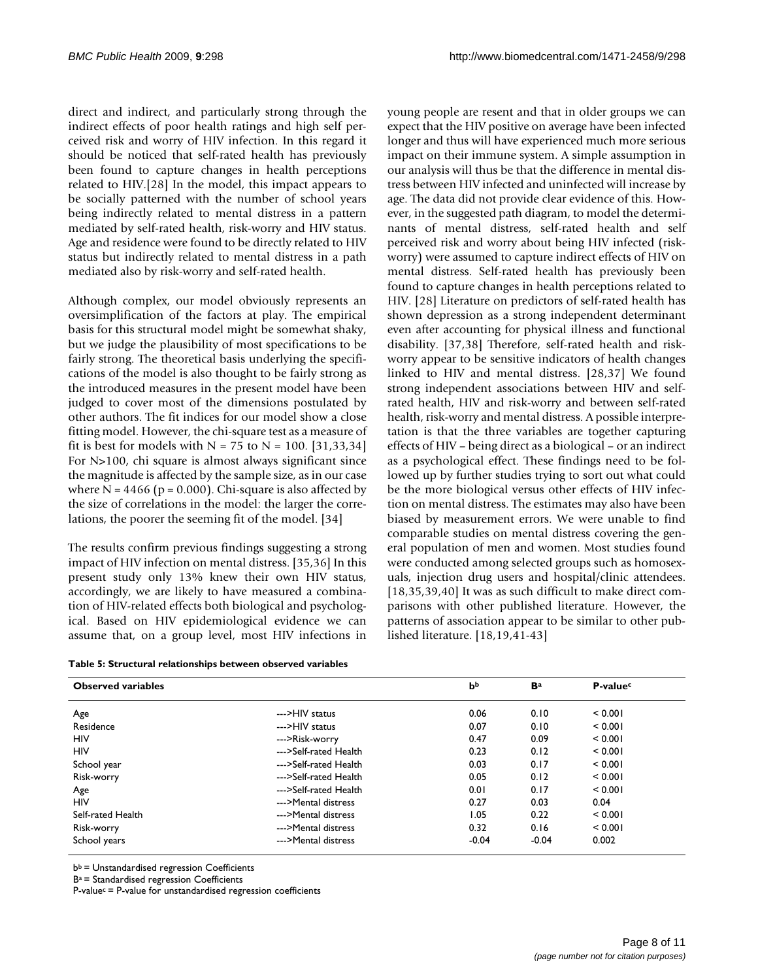direct and indirect, and particularly strong through the indirect effects of poor health ratings and high self perceived risk and worry of HIV infection. In this regard it should be noticed that self-rated health has previously been found to capture changes in health perceptions related to HIV.[[28\]](#page-10-1) In the model, this impact appears to be socially patterned with the number of school years being indirectly related to mental distress in a pattern mediated by self-rated health, risk-worry and HIV status. Age and residence were found to be directly related to HIV status but indirectly related to mental distress in a path mediated also by risk-worry and self-rated health.

Although complex, our model obviously represents an oversimplification of the factors at play. The empirical basis for this structural model might be somewhat shaky, but we judge the plausibility of most specifications to be fairly strong. The theoretical basis underlying the specifications of the model is also thought to be fairly strong as the introduced measures in the present model have been judged to cover most of the dimensions postulated by other authors. The fit indices for our model show a close fitting model. However, the chi-square test as a measure of fit is best for models with  $N = 75$  to  $N = 100$ . [\[31,](#page-10-4)[33](#page-10-6),[34\]](#page-10-7) For N>100, chi square is almost always significant since the magnitude is affected by the sample size, as in our case where  $N = 4466$  ( $p = 0.000$ ). Chi-square is also affected by the size of correlations in the model: the larger the correlations, the poorer the seeming fit of the model. [[34\]](#page-10-7)

The results confirm previous findings suggesting a strong impact of HIV infection on mental distress. [[35,](#page-10-8)[36\]](#page-10-9) In this present study only 13% knew their own HIV status, accordingly, we are likely to have measured a combination of HIV-related effects both biological and psychological. Based on HIV epidemiological evidence we can assume that, on a group level, most HIV infections in

<span id="page-7-0"></span>**Table 5: Structural relationships between observed variables**

young people are resent and that in older groups we can expect that the HIV positive on average have been infected longer and thus will have experienced much more serious impact on their immune system. A simple assumption in our analysis will thus be that the difference in mental distress between HIV infected and uninfected will increase by age. The data did not provide clear evidence of this. However, in the suggested path diagram, to model the determinants of mental distress, self-rated health and self perceived risk and worry about being HIV infected (riskworry) were assumed to capture indirect effects of HIV on mental distress. Self-rated health has previously been found to capture changes in health perceptions related to HIV. [[28\]](#page-10-1) Literature on predictors of self-rated health has shown depression as a strong independent determinant even after accounting for physical illness and functional disability. [\[37](#page-10-10),[38\]](#page-10-11) Therefore, self-rated health and riskworry appear to be sensitive indicators of health changes linked to HIV and mental distress. [\[28](#page-10-1),[37\]](#page-10-10) We found strong independent associations between HIV and selfrated health, HIV and risk-worry and between self-rated health, risk-worry and mental distress. A possible interpretation is that the three variables are together capturing effects of HIV – being direct as a biological – or an indirect as a psychological effect. These findings need to be followed up by further studies trying to sort out what could be the more biological versus other effects of HIV infection on mental distress. The estimates may also have been biased by measurement errors. We were unable to find comparable studies on mental distress covering the general population of men and women. Most studies found were conducted among selected groups such as homosexuals, injection drug users and hospital/clinic attendees. [[18](#page-9-15),[35,](#page-10-8)[39](#page-10-12),[40](#page-10-13)] It was as such difficult to make direct comparisons with other published literature. However, the patterns of association appear to be similar to other published literature. [[18](#page-9-15),[19,](#page-9-16)[41](#page-10-14)[-43\]](#page-10-15)

| <b>Observed variables</b> |                       | Ъp      | Ba      | P-value <sup>c</sup> |
|---------------------------|-----------------------|---------|---------|----------------------|
|                           |                       |         |         |                      |
| Age                       | --->HIV status        | 0.06    | 0.10    | < 0.001              |
| Residence                 | --->HIV status        | 0.07    | 0.10    | < 0.001              |
| <b>HIV</b>                | --->Risk-worry        | 0.47    | 0.09    | < 0.001              |
| <b>HIV</b>                | --->Self-rated Health | 0.23    | 0.12    | < 0.001              |
| School year               | --->Self-rated Health | 0.03    | 0.17    | < 0.001              |
| Risk-worry                | --->Self-rated Health | 0.05    | 0.12    | < 0.001              |
| Age                       | --->Self-rated Health | 0.01    | 0.17    | < 0.001              |
| <b>HIV</b>                | --->Mental distress   | 0.27    | 0.03    | 0.04                 |
| Self-rated Health         | --->Mental distress   | I .05   | 0.22    | < 0.001              |
| Risk-worry                | --->Mental distress   | 0.32    | 0.16    | < 0.001              |
| School years              | --->Mental distress   | $-0.04$ | $-0.04$ | 0.002                |

 $b<sup>b</sup>$  = Unstandardised regression Coefficients

 $B<sup>a</sup>$  = Standardised regression Coefficients

 $P$ -value<sup>c</sup> =  $P$ -value for unstandardised regression coefficients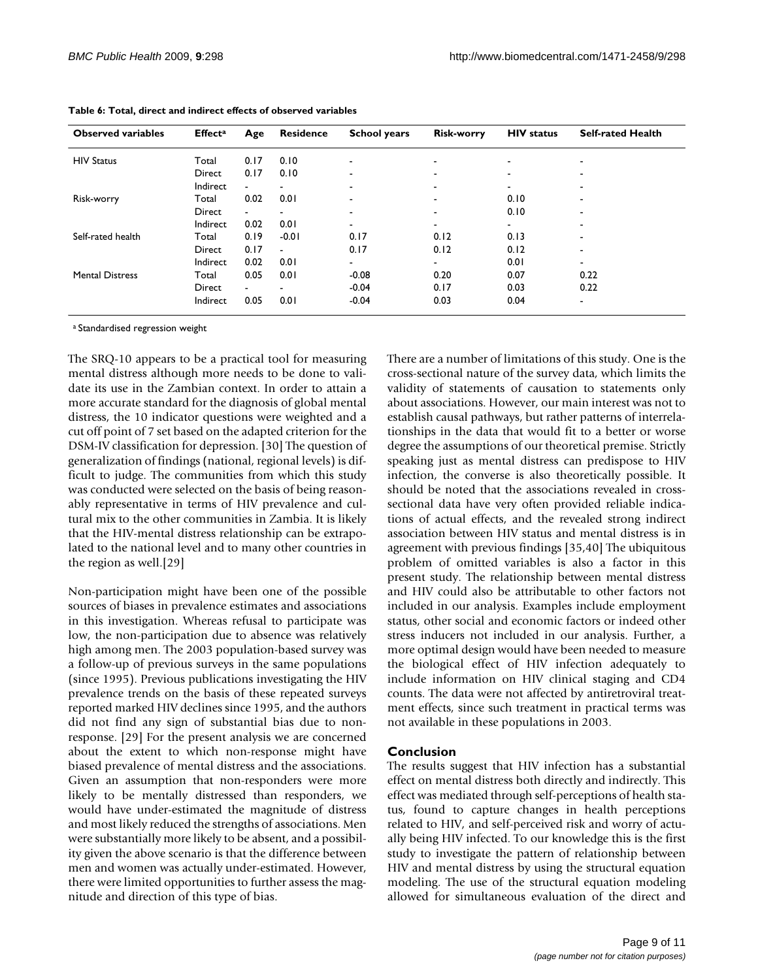| <b>Observed variables</b> | <b>Effecta</b> | Age            | <b>Residence</b> | <b>School years</b>      | <b>Risk-worry</b>        | <b>HIV</b> status        | <b>Self-rated Health</b> |
|---------------------------|----------------|----------------|------------------|--------------------------|--------------------------|--------------------------|--------------------------|
| <b>HIV Status</b>         | Total          | 0.17           | 0.10             | $\overline{\phantom{a}}$ | $\overline{\phantom{a}}$ | $\,$                     |                          |
|                           | Direct         | 0.17           | 0.10             | -                        | $\overline{\phantom{a}}$ | $\overline{\phantom{a}}$ |                          |
|                           | Indirect       | $\blacksquare$ |                  | ۰                        | $\blacksquare$           | $\blacksquare$           |                          |
| Risk-worry                | Total          | 0.02           | 0.01             | ۰                        | $\overline{\phantom{a}}$ | 0.10                     |                          |
|                           | Direct         | ٠              |                  | -                        | $\blacksquare$           | 0.10                     |                          |
|                           | Indirect       | 0.02           | 0.01             |                          | $\blacksquare$           | $\overline{\phantom{0}}$ |                          |
| Self-rated health         | Total          | 0.19           | $-0.01$          | 0.17                     | 0.12                     | 0.13                     |                          |
|                           | Direct         | 0.17           | $\blacksquare$   | 0.17                     | 0.12                     | 0.12                     |                          |
|                           | Indirect       | 0.02           | 0.01             | $\overline{\phantom{0}}$ | $\blacksquare$           | 0.01                     |                          |
| <b>Mental Distress</b>    | Total          | 0.05           | 0.01             | $-0.08$                  | 0.20                     | 0.07                     | 0.22                     |
|                           | Direct         | ٠              |                  | $-0.04$                  | 0.17                     | 0.03                     | 0.22                     |
|                           | Indirect       | 0.05           | 0.01             | $-0.04$                  | 0.03                     | 0.04                     | $\overline{\phantom{a}}$ |

<span id="page-8-0"></span>**Table 6: Total, direct and indirect effects of observed variables**

a Standardised regression weight

The SRQ-10 appears to be a practical tool for measuring mental distress although more needs to be done to validate its use in the Zambian context. In order to attain a more accurate standard for the diagnosis of global mental distress, the 10 indicator questions were weighted and a cut off point of 7 set based on the adapted criterion for the DSM-IV classification for depression. [[30](#page-10-3)] The question of generalization of findings (national, regional levels) is difficult to judge. The communities from which this study was conducted were selected on the basis of being reasonably representative in terms of HIV prevalence and cultural mix to the other communities in Zambia. It is likely that the HIV-mental distress relationship can be extrapolated to the national level and to many other countries in the region as well.[[29\]](#page-10-2)

Non-participation might have been one of the possible sources of biases in prevalence estimates and associations in this investigation. Whereas refusal to participate was low, the non-participation due to absence was relatively high among men. The 2003 population-based survey was a follow-up of previous surveys in the same populations (since 1995). Previous publications investigating the HIV prevalence trends on the basis of these repeated surveys reported marked HIV declines since 1995, and the authors did not find any sign of substantial bias due to nonresponse. [\[29\]](#page-10-2) For the present analysis we are concerned about the extent to which non-response might have biased prevalence of mental distress and the associations. Given an assumption that non-responders were more likely to be mentally distressed than responders, we would have under-estimated the magnitude of distress and most likely reduced the strengths of associations. Men were substantially more likely to be absent, and a possibility given the above scenario is that the difference between men and women was actually under-estimated. However, there were limited opportunities to further assess the magnitude and direction of this type of bias.

There are a number of limitations of this study. One is the cross-sectional nature of the survey data, which limits the validity of statements of causation to statements only about associations. However, our main interest was not to establish causal pathways, but rather patterns of interrelationships in the data that would fit to a better or worse degree the assumptions of our theoretical premise. Strictly speaking just as mental distress can predispose to HIV infection, the converse is also theoretically possible. It should be noted that the associations revealed in crosssectional data have very often provided reliable indications of actual effects, and the revealed strong indirect association between HIV status and mental distress is in agreement with previous findings [[35,](#page-10-8)[40\]](#page-10-13) The ubiquitous problem of omitted variables is also a factor in this present study. The relationship between mental distress and HIV could also be attributable to other factors not included in our analysis. Examples include employment status, other social and economic factors or indeed other stress inducers not included in our analysis. Further, a more optimal design would have been needed to measure the biological effect of HIV infection adequately to include information on HIV clinical staging and CD4 counts. The data were not affected by antiretroviral treatment effects, since such treatment in practical terms was not available in these populations in 2003.

## **Conclusion**

The results suggest that HIV infection has a substantial effect on mental distress both directly and indirectly. This effect was mediated through self-perceptions of health status, found to capture changes in health perceptions related to HIV, and self-perceived risk and worry of actually being HIV infected. To our knowledge this is the first study to investigate the pattern of relationship between HIV and mental distress by using the structural equation modeling. The use of the structural equation modeling allowed for simultaneous evaluation of the direct and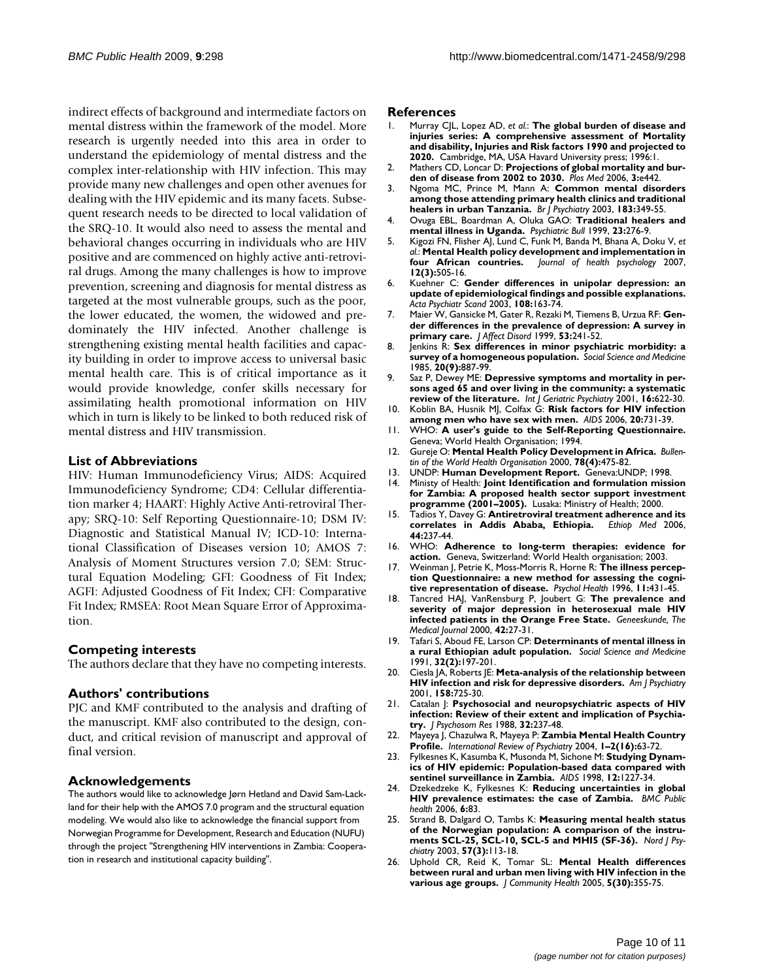indirect effects of background and intermediate factors on mental distress within the framework of the model. More research is urgently needed into this area in order to understand the epidemiology of mental distress and the complex inter-relationship with HIV infection. This may provide many new challenges and open other avenues for dealing with the HIV epidemic and its many facets. Subsequent research needs to be directed to local validation of the SRQ-10. It would also need to assess the mental and behavioral changes occurring in individuals who are HIV positive and are commenced on highly active anti-retroviral drugs. Among the many challenges is how to improve prevention, screening and diagnosis for mental distress as targeted at the most vulnerable groups, such as the poor, the lower educated, the women, the widowed and predominately the HIV infected. Another challenge is strengthening existing mental health facilities and capacity building in order to improve access to universal basic mental health care. This is of critical importance as it would provide knowledge, confer skills necessary for assimilating health promotional information on HIV which in turn is likely to be linked to both reduced risk of mental distress and HIV transmission.

#### **List of Abbreviations**

HIV: Human Immunodeficiency Virus; AIDS: Acquired Immunodeficiency Syndrome; CD4: Cellular differentiation marker 4; HAART: Highly Active Anti-retroviral Therapy; SRQ-10: Self Reporting Questionnaire-10; DSM IV: Diagnostic and Statistical Manual IV; ICD-10: International Classification of Diseases version 10; AMOS 7: Analysis of Moment Structures version 7.0; SEM: Structural Equation Modeling; GFI: Goodness of Fit Index; AGFI: Adjusted Goodness of Fit Index; CFI: Comparative Fit Index; RMSEA: Root Mean Square Error of Approximation.

#### **Competing interests**

The authors declare that they have no competing interests.

#### **Authors' contributions**

PJC and KMF contributed to the analysis and drafting of the manuscript. KMF also contributed to the design, conduct, and critical revision of manuscript and approval of final version.

#### **Acknowledgements**

The authors would like to acknowledge Jørn Hetland and David Sam-Lackland for their help with the AMOS 7.0 program and the structural equation modeling. We would also like to acknowledge the financial support from Norwegian Programme for Development, Research and Education (NUFU) through the project "Strengthening HIV interventions in Zambia: Cooperation in research and institutional capacity building".

#### **References**

- <span id="page-9-0"></span>Murray CJL, Lopez AD, et al.: The global burden of disease and **injuries series: A comprehensive assessment of Mortality and disability, Injuries and Risk factors 1990 and projected to 2020.** Cambridge, MA, USA Havard University press; 1996:1.
- <span id="page-9-1"></span>2. Mathers CD, Loncar D: **[Projections of global mortality and bur](http://www.ncbi.nlm.nih.gov/entrez/query.fcgi?cmd=Retrieve&db=PubMed&dopt=Abstract&list_uids=17132052)[den of disease from 2002 to 2030.](http://www.ncbi.nlm.nih.gov/entrez/query.fcgi?cmd=Retrieve&db=PubMed&dopt=Abstract&list_uids=17132052)** *Plos Med* 2006, **3:**e442.
- <span id="page-9-2"></span>3. Ngoma MC, Prince M, Mann A: **[Common mental disorders](http://www.ncbi.nlm.nih.gov/entrez/query.fcgi?cmd=Retrieve&db=PubMed&dopt=Abstract&list_uids=14519614) [among those attending primary health clinics and traditional](http://www.ncbi.nlm.nih.gov/entrez/query.fcgi?cmd=Retrieve&db=PubMed&dopt=Abstract&list_uids=14519614) [healers in urban Tanzania.](http://www.ncbi.nlm.nih.gov/entrez/query.fcgi?cmd=Retrieve&db=PubMed&dopt=Abstract&list_uids=14519614)** *Br J Psychiatry* 2003, **183:**349-55.
- <span id="page-9-3"></span>4. Ovuga EBL, Boardman A, Oluka GAO: **Traditional healers and mental illness in Uganda.** *Psychiatric Bull* 1999, **23:**276-9.
- <span id="page-9-4"></span>5. Kigozi FN, Flisher AJ, Lund C, Funk M, Banda M, Bhana A, Doku V, *et al.*: **[Mental Health policy development and implementation in](http://www.ncbi.nlm.nih.gov/entrez/query.fcgi?cmd=Retrieve&db=PubMed&dopt=Abstract&list_uids=17440000) [four African countries.](http://www.ncbi.nlm.nih.gov/entrez/query.fcgi?cmd=Retrieve&db=PubMed&dopt=Abstract&list_uids=17440000)** *Journal of health psychology* 2007, **12(3):**505-16.
- <span id="page-9-5"></span>6. Kuehner C: **[Gender differences in unipolar depression: an](http://www.ncbi.nlm.nih.gov/entrez/query.fcgi?cmd=Retrieve&db=PubMed&dopt=Abstract&list_uids=12890270) [update of epidemiological findings and possible explanations.](http://www.ncbi.nlm.nih.gov/entrez/query.fcgi?cmd=Retrieve&db=PubMed&dopt=Abstract&list_uids=12890270)** *Acta Psychiatr Scand* 2003, **108:**163-74.
- 7. Maier W, Gansicke M, Gater R, Rezaki M, Tiemens B, Urzua RF: **[Gen](http://www.ncbi.nlm.nih.gov/entrez/query.fcgi?cmd=Retrieve&db=PubMed&dopt=Abstract&list_uids=10404710)[der differences in the prevalence of depression: A survey in](http://www.ncbi.nlm.nih.gov/entrez/query.fcgi?cmd=Retrieve&db=PubMed&dopt=Abstract&list_uids=10404710) [primary care.](http://www.ncbi.nlm.nih.gov/entrez/query.fcgi?cmd=Retrieve&db=PubMed&dopt=Abstract&list_uids=10404710)** *J Affect Disord* 1999, **53:**241-52.
- <span id="page-9-6"></span>8. Jenkins R: **[Sex differences in minor psychiatric morbidity: a](http://www.ncbi.nlm.nih.gov/entrez/query.fcgi?cmd=Retrieve&db=PubMed&dopt=Abstract&list_uids=3874434) [survey of a homogeneous population.](http://www.ncbi.nlm.nih.gov/entrez/query.fcgi?cmd=Retrieve&db=PubMed&dopt=Abstract&list_uids=3874434)** *Social Science and Medicine* 1985, **20(9):**887-99.
- <span id="page-9-7"></span>9. Saz P, Dewey ME: **Depressive symptoms and mortality in persons aged 65 and over living in the community: a systematic review of the literature.** *Int J Geriatric Psychiatry* 2001, **16:**622-30.
- <span id="page-9-8"></span>10. Koblin BA, Husnik MJ, Colfax G: **[Risk factors for HIV infection](http://www.ncbi.nlm.nih.gov/entrez/query.fcgi?cmd=Retrieve&db=PubMed&dopt=Abstract&list_uids=16514304) [among men who have sex with men.](http://www.ncbi.nlm.nih.gov/entrez/query.fcgi?cmd=Retrieve&db=PubMed&dopt=Abstract&list_uids=16514304)** *AIDS* 2006, **20:**731-39.
- <span id="page-9-9"></span>11. WHO: **A user's guide to the Self-Reporting Questionnaire.** Geneva; World Health Organisation; 1994.
- <span id="page-9-10"></span>12. Gureje O: **Mental Health Policy Development in Africa.** *Bullentin of the World Health Organisation* 2000, **78(4):**475-82.
- 13. UNDP: **Human Development Report.** Geneva:UNDP; 1998.
- <span id="page-9-11"></span>14. Ministy of Health: **Joint Identification and formulation mission for Zambia: A proposed health sector support investment programme (2001–2005).** Lusaka: Ministry of Health; 2000.
- <span id="page-9-12"></span>15. Tadios Y, Davey G: **Antiretroviral treatment adherence and its correlates in Addis Ababa, Ethiopia.** *Ethiop Med* 2006, **44:**237-44.
- <span id="page-9-13"></span>16. WHO: **Adherence to long-term therapies: evidence for action.** Geneva, Switzerland: World Health organisation; 2003.
- <span id="page-9-14"></span>17. Weinman J, Petrie K, Moss-Morris R, Horne R: **The illness perception Questionnaire: a new method for assessing the cognitive representation of disease.** *Psychol Health* 1996, **11:**431-45.
- <span id="page-9-15"></span>18. Tancred HAJ, VanRensburg P, Joubert G: **The prevalence and severity of major depression in heterosexual male HIV infected patients in the Orange Free State.** *Geneeskunde, The Medical Journal* 2000, **42:**27-31.
- <span id="page-9-16"></span>19. Tafari S, Aboud FE, Larson CP: **[Determinants of mental illness in](http://www.ncbi.nlm.nih.gov/entrez/query.fcgi?cmd=Retrieve&db=PubMed&dopt=Abstract&list_uids=2014415) [a rural Ethiopian adult population.](http://www.ncbi.nlm.nih.gov/entrez/query.fcgi?cmd=Retrieve&db=PubMed&dopt=Abstract&list_uids=2014415)** *Social Science and Medicine* 1991, **32(2):**197-201.
- <span id="page-9-17"></span>20. Ciesla JA, Roberts JE: **[Meta-analysis of the relationship between](http://www.ncbi.nlm.nih.gov/entrez/query.fcgi?cmd=Retrieve&db=PubMed&dopt=Abstract&list_uids=11329393) [HIV infection and risk for depressive disorders.](http://www.ncbi.nlm.nih.gov/entrez/query.fcgi?cmd=Retrieve&db=PubMed&dopt=Abstract&list_uids=11329393)** *Am J Psychiatry* 2001, **158:**725-30.
- <span id="page-9-18"></span>21. Catalan J: **[Psychosocial and neuropsychiatric aspects of HIV](http://www.ncbi.nlm.nih.gov/entrez/query.fcgi?cmd=Retrieve&db=PubMed&dopt=Abstract&list_uids=3054077) [infection: Review of their extent and implication of Psychia](http://www.ncbi.nlm.nih.gov/entrez/query.fcgi?cmd=Retrieve&db=PubMed&dopt=Abstract&list_uids=3054077)[try.](http://www.ncbi.nlm.nih.gov/entrez/query.fcgi?cmd=Retrieve&db=PubMed&dopt=Abstract&list_uids=3054077)** *J Psychosom Res* 1988, **32:**237-48.
- <span id="page-9-19"></span>22. Mayeya J, Chazulwa R, Mayeya P: **Zambia Mental Health Country Profile.** *International Review of Psychiatry* 2004, **1–2(16):**63-72.
- <span id="page-9-20"></span>23. Fylkesnes K, Kasumba K, Musonda M, Sichone M: **[Studying Dynam](http://www.ncbi.nlm.nih.gov/entrez/query.fcgi?cmd=Retrieve&db=PubMed&dopt=Abstract&list_uids=9677172)[ics of HIV epidemic: Population-based data compared with](http://www.ncbi.nlm.nih.gov/entrez/query.fcgi?cmd=Retrieve&db=PubMed&dopt=Abstract&list_uids=9677172) [sentinel surveillance in Zambia.](http://www.ncbi.nlm.nih.gov/entrez/query.fcgi?cmd=Retrieve&db=PubMed&dopt=Abstract&list_uids=9677172)** *AIDS* 1998, **12:**1227-34.
- <span id="page-9-21"></span>24. Dzekedzeke K, Fylkesnes K: **[Reducing uncertainties in global](http://www.ncbi.nlm.nih.gov/entrez/query.fcgi?cmd=Retrieve&db=PubMed&dopt=Abstract&list_uids=16579863) [HIV prevalence estimates: the case of Zambia.](http://www.ncbi.nlm.nih.gov/entrez/query.fcgi?cmd=Retrieve&db=PubMed&dopt=Abstract&list_uids=16579863)** *BMC Public health* 2006, **6:**83.
- <span id="page-9-22"></span>25. Strand B, Dalgard O, Tambs K: **[Measuring mental health status](http://www.ncbi.nlm.nih.gov/entrez/query.fcgi?cmd=Retrieve&db=PubMed&dopt=Abstract&list_uids=12745773) [of the Norwegian population: A comparison of the instru](http://www.ncbi.nlm.nih.gov/entrez/query.fcgi?cmd=Retrieve&db=PubMed&dopt=Abstract&list_uids=12745773)[ments SCL-25, SCL-10, SCL-5 and MHI5 \(SF-36\).](http://www.ncbi.nlm.nih.gov/entrez/query.fcgi?cmd=Retrieve&db=PubMed&dopt=Abstract&list_uids=12745773)** *Nord J Psychiatry* 2003, **57(3):**113-18.
- <span id="page-9-23"></span>26. Uphold CR, Reid K, Tomar SL: **Mental Health differences between rural and urban men living with HIV infection in the various age groups.** *J Community Health* 2005, **5(30):**355-75.